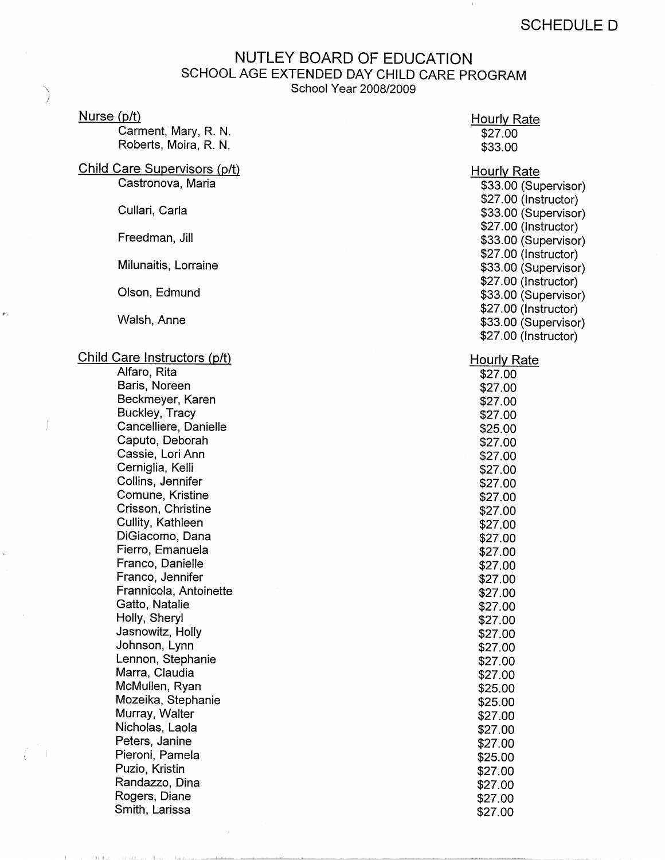## NUTLEY BOARD OF EDUCATION SCHOOL AGE EXTENDED DAY CHILD CARE PROGRAM School Year 2008/2009

## Nurse (p/t)

Carment, Mary, R. N. Roberts, Moira, R. N.

## Child Care Supervisors (p/t) Castronova, Maria

Cullari, Carla

Freedman, Jill

Milunaitis, Lorraine

Olson, Edmund

Walsh, Anne

## Child Care Instructors (p/t)

Alfaro, Rita Baris, Noreen Beckmeyer, Karen Buckley, Tracy Cancelliere, Danielle Caputo, Deborah Cassie, Lori Ann Cerniglia, Kelli Collins, Jennifer Comune, Kristine Crisson, Christine Cullity, Kathleen DiGiacomo, Dana Fierro, Emanuela Franco, Danielle Franco, Jennifer Frannicola, Antoinette Gatto, Natalie Holly, Sheryl Jasnowitz, Holly Johnson, Lynn Lennon, Stephanie Marra, Claudia McMullen, Ryan Mozeika, Stephanie Murray, Walter Nicholas, Laola Peters, Janine Pieroni, Pamela Puzio, Kristin Randazzo, Dina Rogers, Diane Smith, Larissa

- Ali Aldar I

\$25.00 \$27.00 \$27.00 \$27.00 \$25.00 \$27.00 \$27.00 \$27.00 \$27.00